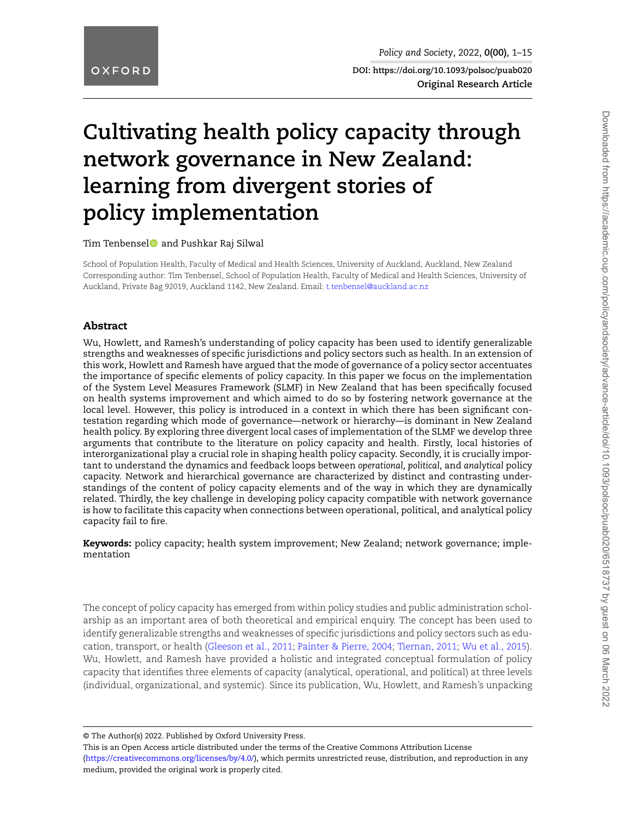**DOI: https://doi.org/10.1093/polsoc/puab020 Original Research Article**

# **Cultivating health policy capacity through network governance in New Zealand: learning from divergent stories of policy implementation**

Tim Tenbensel and Pushkar Raj Silwal

School of Population Health, Faculty of Medical and Health Sciences, University of Auckland, Auckland, New Zealand Corresponding author: Tim Tenbensel, School of Population Health, Faculty of Medical and Health Sciences, University of Auckland, Private Bag 92019, Auckland 1142, New Zealand. Email: [t.tenbensel@auckland.ac.nz](mailto:t.tenbensel@auckland.ac.nz)

#### **Abstract**

Wu, Howlett, and Ramesh's understanding of policy capacity has been used to identify generalizable strengths and weaknesses of specific jurisdictions and policy sectors such as health. In an extension of this work, Howlett and Ramesh have argued that the mode of governance of a policy sector accentuates the importance of specific elements of policy capacity. In this paper we focus on the implementation of the System Level Measures Framework (SLMF) in New Zealand that has been specifically focused on health systems improvement and which aimed to do so by fostering network governance at the local level. However, this policy is introduced in a context in which there has been significant contestation regarding which mode of governance—network or hierarchy—is dominant in New Zealand health policy. By exploring three divergent local cases of implementation of the SLMF we develop three arguments that contribute to the literature on policy capacity and health. Firstly, local histories of interorganizational play a crucial role in shaping health policy capacity. Secondly, it is crucially important to understand the dynamics and feedback loops between *operational, political*, and *analytical* policy capacity. Network and hierarchical governance are characterized by distinct and contrasting understandings of the content of policy capacity elements and of the way in which they are dynamically related. Thirdly, the key challenge in developing policy capacity compatible with network governance is how to facilitate this capacity when connections between operational, political, and analytical policy capacity fail to fire.

**Keywords:** policy capacity; health system improvement; New Zealand; network governance; implementation

The concept of policy capacity has emerged from within policy studies and public administration scholarship as an important area of both theoretical and empirical enquiry. The concept has been used to identify generalizable strengths and weaknesses of specific jurisdictions and policy sectors such as education, transport, or health [\(Gleeson et al., 2011](#page-13-0); [Painter & Pierre, 2004](#page-13-1); [Tiernan, 2011](#page-14-0); [Wu et al., 2015\)](#page-14-1). Wu, Howlett, and Ramesh have provided a holistic and integrated conceptual formulation of policy capacity that identifies three elements of capacity (analytical, operational, and political) at three levels (individual, organizational, and systemic). Since its publication, Wu, Howlett, and Ramesh's unpacking

© The Author(s) 2022. Published by Oxford University Press.

This is an Open Access article distributed under the terms of the Creative Commons Attribution License

([https://creativecommons.org/licenses/by/4.0/\)](https://creativecommons.org/licenses/by/4.0/), which permits unrestricted reuse, distribution, and reproduction in any medium, provided the original work is properly cited.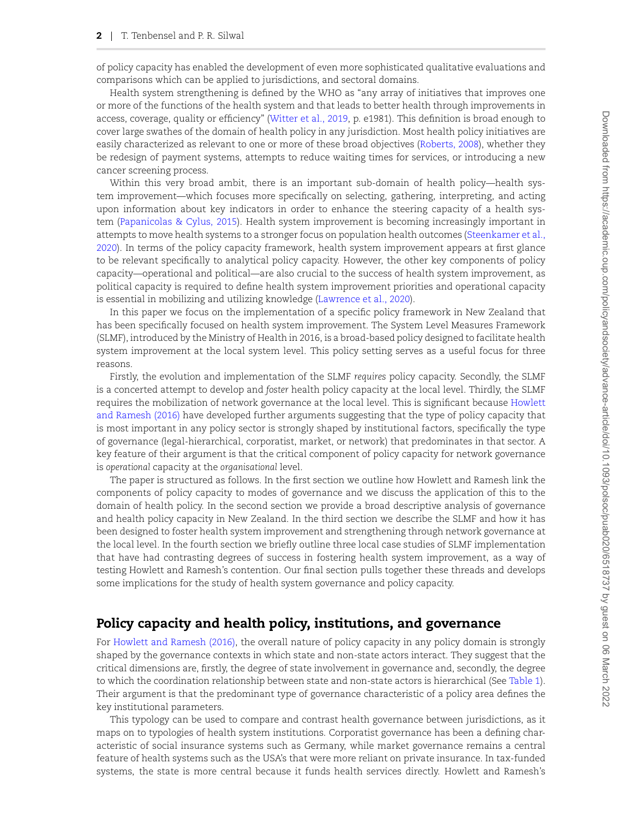of policy capacity has enabled the development of even more sophisticated qualitative evaluations and comparisons which can be applied to jurisdictions, and sectoral domains.

Health system strengthening is defined by the WHO as "any array of initiatives that improves one or more of the functions of the health system and that leads to better health through improvements in access, coverage, quality or efficiency"([Witter et al., 2019](#page-14-2), p. e1981). This definition is broad enough to cover large swathes of the domain of health policy in any jurisdiction. Most health policy initiatives are easily characterized as relevant to one or more of these broad objectives([Roberts, 2008\)](#page-13-2), whether they be redesign of payment systems, attempts to reduce waiting times for services, or introducing a new cancer screening process.

Within this very broad ambit, there is an important sub-domain of health policy—health system improvement—which focuses more specifically on selecting, gathering, interpreting, and acting upon information about key indicators in order to enhance the steering capacity of a health system [\(Papanicolas & Cylus, 2015\)](#page-13-3). Health system improvement is becoming increasingly important in attempts to move health systems to a stronger focus on population health outcomes([Steenkamer et al.,](#page-13-4) [2020\)](#page-13-4). In terms of the policy capacity framework, health system improvement appears at first glance to be relevant specifically to analytical policy capacity. However, the other key components of policy capacity—operational and political—are also crucial to the success of health system improvement, as political capacity is required to define health system improvement priorities and operational capacity is essential in mobilizing and utilizing knowledge [\(Lawrence et al., 2020](#page-13-5)).

In this paper we focus on the implementation of a specific policy framework in New Zealand that has been specifically focused on health system improvement. The System Level Measures Framework (SLMF), introduced by the Ministry of Health in 2016, is a broad-based policy designed to facilitate health system improvement at the local system level. This policy setting serves as a useful focus for three reasons.

Firstly, the evolution and implementation of the SLMF *requires* policy capacity. Secondly, the SLMF is a concerted attempt to develop and *foster* health policy capacity at the local level. Thirdly, the SLMF requires the mobilization of network governance at the local level. This is significant because [Howlett](#page-13-6) [and Ramesh \(2016\)](#page-13-6) have developed further arguments suggesting that the type of policy capacity that is most important in any policy sector is strongly shaped by institutional factors, specifically the type of governance (legal-hierarchical, corporatist, market, or network) that predominates in that sector. A key feature of their argument is that the critical component of policy capacity for network governance is *operational* capacity at the *organisational* level.

The paper is structured as follows. In the first section we outline how Howlett and Ramesh link the components of policy capacity to modes of governance and we discuss the application of this to the domain of health policy. In the second section we provide a broad descriptive analysis of governance and health policy capacity in New Zealand. In the third section we describe the SLMF and how it has been designed to foster health system improvement and strengthening through network governance at the local level. In the fourth section we briefly outline three local case studies of SLMF implementation that have had contrasting degrees of success in fostering health system improvement, as a way of testing Howlett and Ramesh's contention. Our final section pulls together these threads and develops some implications for the study of health system governance and policy capacity.

# **Policy capacity and health policy, institutions, and governance**

For [Howlett and Ramesh \(2016\)](#page-13-6), the overall nature of policy capacity in any policy domain is strongly shaped by the governance contexts in which state and non-state actors interact. They suggest that the critical dimensions are, firstly, the degree of state involvement in governance and, secondly, the degree to which the coordination relationship between state and non-state actors is hierarchical (See [Table 1](#page-2-0)). Their argument is that the predominant type of governance characteristic of a policy area defines the key institutional parameters.

This typology can be used to compare and contrast health governance between jurisdictions, as it maps on to typologies of health system institutions. Corporatist governance has been a defining characteristic of social insurance systems such as Germany, while market governance remains a central feature of health systems such as the USA's that were more reliant on private insurance. In tax-funded systems, the state is more central because it funds health services directly. Howlett and Ramesh's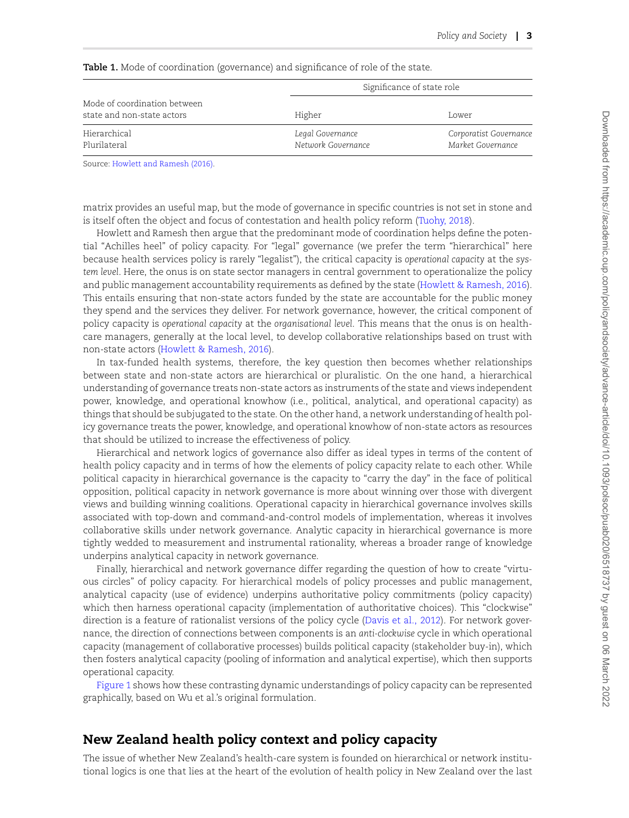|                                                            |                                        | Significance of state role                  |
|------------------------------------------------------------|----------------------------------------|---------------------------------------------|
| Mode of coordination between<br>state and non-state actors | Higher                                 | Lower                                       |
| Hierarchical<br>Plurilateral                               | Legal Governance<br>Network Governance | Corporatist Governance<br>Market Governance |

<span id="page-2-0"></span>Table 1. Mode of coordination (governance) and significance of role of the state.

Source: [Howlett and Ramesh \(2016\)](#page-13-6).

matrix provides an useful map, but the mode of governance in specific countries is not set in stone and is itself often the object and focus of contestation and health policy reform [\(Tuohy, 2018\)](#page-14-3).

Howlett and Ramesh then argue that the predominant mode of coordination helps define the potential "Achilles heel" of policy capacity. For "legal" governance (we prefer the term "hierarchical" here because health services policy is rarely "legalist"), the critical capacity is *operational capacity* at the *system level*. Here, the onus is on state sector managers in central government to operationalize the policy and public management accountability requirements as defined by the state([Howlett & Ramesh, 2016\)](#page-13-6). This entails ensuring that non-state actors funded by the state are accountable for the public money they spend and the services they deliver. For network governance, however, the critical component of policy capacity is *operational capacity* at the *organisational level*. This means that the onus is on healthcare managers, generally at the local level, to develop collaborative relationships based on trust with non-state actors([Howlett & Ramesh, 2016](#page-13-6)).

In tax-funded health systems, therefore, the key question then becomes whether relationships between state and non-state actors are hierarchical or pluralistic. On the one hand, a hierarchical understanding of governance treats non-state actors as instruments of the state and views independent power, knowledge, and operational knowhow (i.e., political, analytical, and operational capacity) as things that should be subjugated to the state. On the other hand, a network understanding of health policy governance treats the power, knowledge, and operational knowhow of non-state actors as resources that should be utilized to increase the effectiveness of policy.

Hierarchical and network logics of governance also differ as ideal types in terms of the content of health policy capacity and in terms of how the elements of policy capacity relate to each other. While political capacity in hierarchical governance is the capacity to "carry the day" in the face of political opposition, political capacity in network governance is more about winning over those with divergent views and building winning coalitions. Operational capacity in hierarchical governance involves skills associated with top-down and command-and-control models of implementation, whereas it involves collaborative skills under network governance. Analytic capacity in hierarchical governance is more tightly wedded to measurement and instrumental rationality, whereas a broader range of knowledge underpins analytical capacity in network governance.

Finally, hierarchical and network governance differ regarding the question of how to create "virtuous circles" of policy capacity. For hierarchical models of policy processes and public management, analytical capacity (use of evidence) underpins authoritative policy commitments (policy capacity) which then harness operational capacity (implementation of authoritative choices). This "clockwise" direction is a feature of rationalist versions of the policy cycle([Davis et al., 2012](#page-12-0)). For network governance, the direction of connections between components is an *anti-clockwise* cycle in which operational capacity (management of collaborative processes) builds political capacity (stakeholder buy-in), which then fosters analytical capacity (pooling of information and analytical expertise), which then supports operational capacity.

[Figure 1](#page-3-0) shows how these contrasting dynamic understandings of policy capacity can be represented graphically, based on Wu et al.'s original formulation.

# **New Zealand health policy context and policy capacity**

The issue of whether New Zealand's health-care system is founded on hierarchical or network institutional logics is one that lies at the heart of the evolution of health policy in New Zealand over the last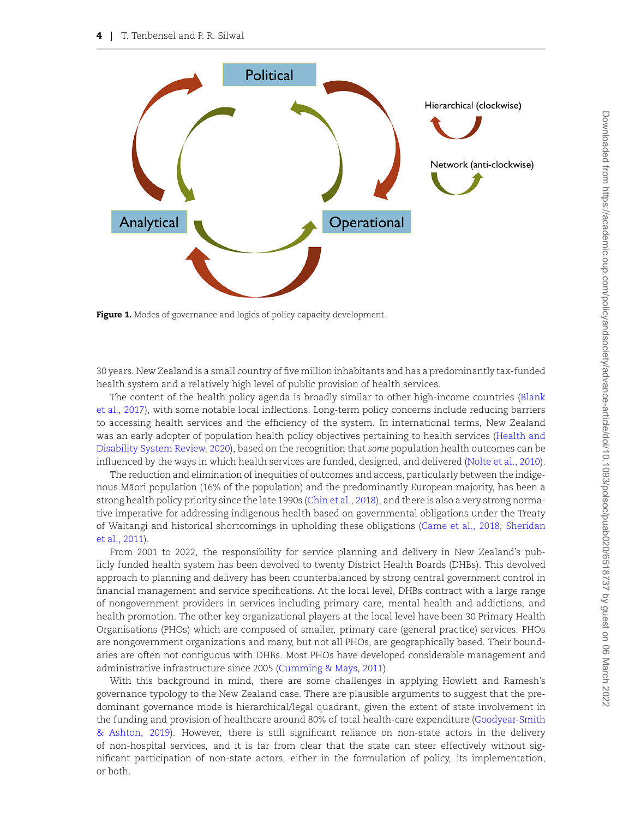<span id="page-3-0"></span>

**Figure 1.** Modes of governance and logics of policy capacity development.

30 years. New Zealand is a small country of five million inhabitants and has a predominantly tax-funded health system and a relatively high level of public provision of health services.

The content of the health policy agenda is broadly similar to other high-income countries([Blank](#page-12-1) [et al., 2017](#page-12-1)), with some notable local inflections. Long-term policy concerns include reducing barriers to accessing health services and the efficiency of the system. In international terms, New Zealand was an early adopter of population health policy objectives pertaining to health services([Health and](#page-13-7) [Disability System Review, 2020](#page-13-7)), based on the recognition that *some* population health outcomes can be influenced by the ways in which health services are funded, designed, and delivered [\(Nolte et al., 2010](#page-13-8)).

The reduction and elimination of inequities of outcomes and access, particularly between the indigenous Maori population (16% of the population) and the predominantly European majority, has been a ¯ strong health policy priority since the late 1990s([Chin et al., 2018](#page-12-2)), and there is also a very strong normative imperative for addressing indigenous health based on governmental obligations under the Treaty of Waitangi and historical shortcomings in upholding these obligations [\(Came et al., 2018;](#page-12-3) [Sheridan](#page-13-9) [et al., 2011](#page-13-9)).

From 2001 to 2022, the responsibility for service planning and delivery in New Zealand's publicly funded health system has been devolved to twenty District Health Boards (DHBs). This devolved approach to planning and delivery has been counterbalanced by strong central government control in financial management and service specifications. At the local level, DHBs contract with a large range of nongovernment providers in services including primary care, mental health and addictions, and health promotion. The other key organizational players at the local level have been 30 Primary Health Organisations (PHOs) which are composed of smaller, primary care (general practice) services. PHOs are nongovernment organizations and many, but not all PHOs, are geographically based. Their boundaries are often not contiguous with DHBs. Most PHOs have developed considerable management and administrative infrastructure since 2005 [\(Cumming & Mays, 2011](#page-12-4)).

With this background in mind, there are some challenges in applying Howlett and Ramesh's governance typology to the New Zealand case. There are plausible arguments to suggest that the predominant governance mode is hierarchical/legal quadrant, given the extent of state involvement in the funding and provision of healthcare around 80% of total health-care expenditure([Goodyear-Smith](#page-13-10) [& Ashton, 2019\)](#page-13-10). However, there is still significant reliance on non-state actors in the delivery of non-hospital services, and it is far from clear that the state can steer effectively without significant participation of non-state actors, either in the formulation of policy, its implementation, or both.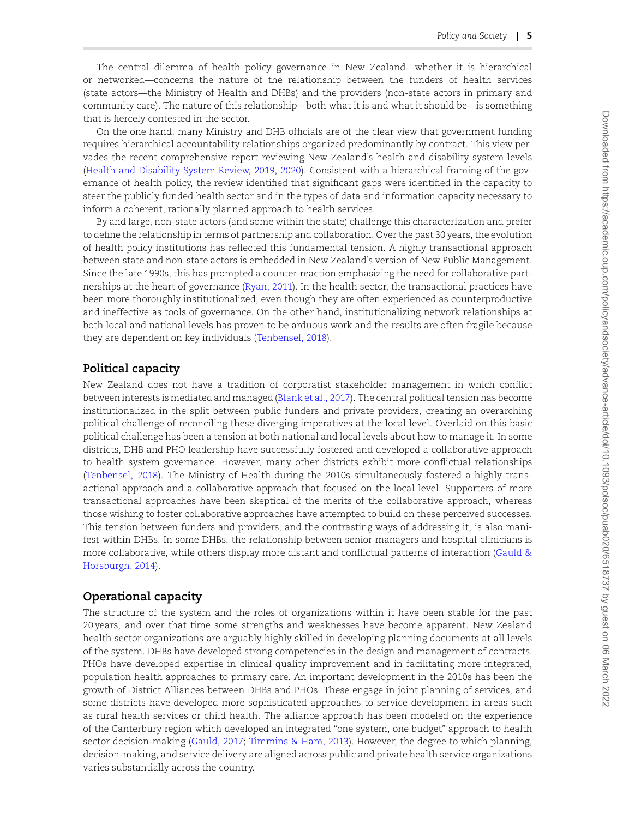The central dilemma of health policy governance in New Zealand—whether it is hierarchical or networked—concerns the nature of the relationship between the funders of health services (state actors—the Ministry of Health and DHBs) and the providers (non-state actors in primary and community care). The nature of this relationship—both what it is and what it should be—is something that is fiercely contested in the sector.

On the one hand, many Ministry and DHB officials are of the clear view that government funding requires hierarchical accountability relationships organized predominantly by contract. This view pervades the recent comprehensive report reviewing New Zealand's health and disability system levels [\(Health and Disability System Review, 2019](#page-13-11), [2020](#page-13-7)). Consistent with a hierarchical framing of the governance of health policy, the review identified that significant gaps were identified in the capacity to steer the publicly funded health sector and in the types of data and information capacity necessary to inform a coherent, rationally planned approach to health services.

By and large, non-state actors (and some within the state) challenge this characterization and prefer to define the relationship in terms of partnership and collaboration. Over the past 30 years, the evolution of health policy institutions has reflected this fundamental tension. A highly transactional approach between state and non-state actors is embedded in New Zealand's version of New Public Management. Since the late 1990s, this has prompted a counter-reaction emphasizing the need for collaborative partnerships at the heart of governance([Ryan, 2011](#page-13-12)). In the health sector, the transactional practices have been more thoroughly institutionalized, even though they are often experienced as counterproductive and ineffective as tools of governance. On the other hand, institutionalizing network relationships at both local and national levels has proven to be arduous work and the results are often fragile because they are dependent on key individuals([Tenbensel, 2018](#page-14-4)).

#### **Political capacity**

New Zealand does not have a tradition of corporatist stakeholder management in which conflict between interests is mediated and managed([Blank et al., 2017](#page-12-1)). The central political tension has become institutionalized in the split between public funders and private providers, creating an overarching political challenge of reconciling these diverging imperatives at the local level. Overlaid on this basic political challenge has been a tension at both national and local levels about how to manage it. In some districts, DHB and PHO leadership have successfully fostered and developed a collaborative approach to health system governance. However, many other districts exhibit more conflictual relationships [\(Tenbensel, 2018\)](#page-14-4). The Ministry of Health during the 2010s simultaneously fostered a highly transactional approach and a collaborative approach that focused on the local level. Supporters of more transactional approaches have been skeptical of the merits of the collaborative approach, whereas those wishing to foster collaborative approaches have attempted to build on these perceived successes. This tension between funders and providers, and the contrasting ways of addressing it, is also manifest within DHBs. In some DHBs, the relationship between senior managers and hospital clinicians is more collaborative, while others display more distant and conflictual patterns of interaction [\(Gauld &](#page-13-13) [Horsburgh, 2014](#page-13-13)).

#### **Operational capacity**

The structure of the system and the roles of organizations within it have been stable for the past 20 years, and over that time some strengths and weaknesses have become apparent. New Zealand health sector organizations are arguably highly skilled in developing planning documents at all levels of the system. DHBs have developed strong competencies in the design and management of contracts. PHOs have developed expertise in clinical quality improvement and in facilitating more integrated, population health approaches to primary care. An important development in the 2010s has been the growth of District Alliances between DHBs and PHOs. These engage in joint planning of services, and some districts have developed more sophisticated approaches to service development in areas such as rural health services or child health. The alliance approach has been modeled on the experience of the Canterbury region which developed an integrated "one system, one budget" approach to health sector decision-making [\(Gauld, 2017;](#page-12-5) [Timmins & Ham, 2013](#page-14-5)). However, the degree to which planning, decision-making, and service delivery are aligned across public and private health service organizations varies substantially across the country.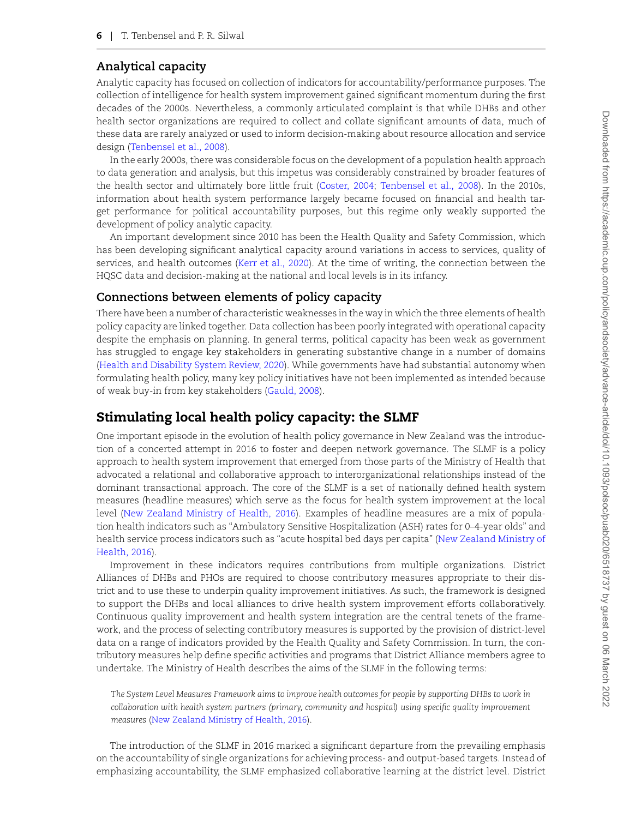# **Analytical capacity**

Analytic capacity has focused on collection of indicators for accountability/performance purposes. The collection of intelligence for health system improvement gained significant momentum during the first decades of the 2000s. Nevertheless, a commonly articulated complaint is that while DHBs and other health sector organizations are required to collect and collate significant amounts of data, much of these data are rarely analyzed or used to inform decision-making about resource allocation and service design [\(Tenbensel et al., 2008](#page-14-6)).

In the early 2000s, there was considerable focus on the development of a population health approach to data generation and analysis, but this impetus was considerably constrained by broader features of the health sector and ultimately bore little fruit [\(Coster, 2004;](#page-12-6) [Tenbensel et al., 2008\)](#page-14-6). In the 2010s, information about health system performance largely became focused on financial and health target performance for political accountability purposes, but this regime only weakly supported the development of policy analytic capacity.

An important development since 2010 has been the Health Quality and Safety Commission, which has been developing significant analytical capacity around variations in access to services, quality of services, and health outcomes([Kerr et al., 2020](#page-13-14)). At the time of writing, the connection between the HQSC data and decision-making at the national and local levels is in its infancy.

## **Connections between elements of policy capacity**

There have been a number of characteristic weaknesses in the way in which the three elements of health policy capacity are linked together. Data collection has been poorly integrated with operational capacity despite the emphasis on planning. In general terms, political capacity has been weak as government has struggled to engage key stakeholders in generating substantive change in a number of domains ([Health and Disability System Review, 2020](#page-13-7)). While governments have had substantial autonomy when formulating health policy, many key policy initiatives have not been implemented as intended because of weak buy-in from key stakeholders([Gauld, 2008](#page-12-7)).

# **Stimulating local health policy capacity: the SLMF**

One important episode in the evolution of health policy governance in New Zealand was the introduction of a concerted attempt in 2016 to foster and deepen network governance. The SLMF is a policy approach to health system improvement that emerged from those parts of the Ministry of Health that advocated a relational and collaborative approach to interorganizational relationships instead of the dominant transactional approach. The core of the SLMF is a set of nationally defined health system measures (headline measures) which serve as the focus for health system improvement at the local level [\(New Zealand Ministry of Health, 2016](#page-13-15)). Examples of headline measures are a mix of population health indicators such as "Ambulatory Sensitive Hospitalization (ASH) rates for 0–4-year olds" and health service process indicators such as "acute hospital bed days per capita" [\(New Zealand Ministry of](#page-13-15) [Health, 2016](#page-13-15)).

Improvement in these indicators requires contributions from multiple organizations. District Alliances of DHBs and PHOs are required to choose contributory measures appropriate to their district and to use these to underpin quality improvement initiatives. As such, the framework is designed to support the DHBs and local alliances to drive health system improvement efforts collaboratively. Continuous quality improvement and health system integration are the central tenets of the framework, and the process of selecting contributory measures is supported by the provision of district-level data on a range of indicators provided by the Health Quality and Safety Commission. In turn, the contributory measures help define specific activities and programs that District Alliance members agree to undertake. The Ministry of Health describes the aims of the SLMF in the following terms:

*The System Level Measures Framework aims to improve health outcomes for people by supporting DHBs to work in collaboration with health system partners (primary, community and hospital) using specific quality improvement measures* [\(New Zealand Ministry of Health, 2016\)](#page-13-15).

The introduction of the SLMF in 2016 marked a significant departure from the prevailing emphasis on the accountability of single organizations for achieving process- and output-based targets. Instead of emphasizing accountability, the SLMF emphasized collaborative learning at the district level. District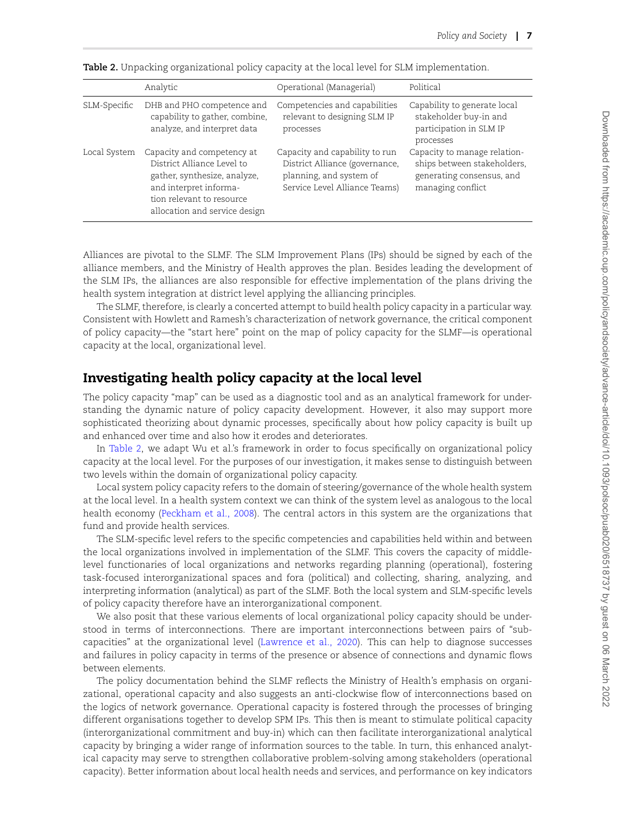|              | Analytic                                                                                                                                                                         | Operational (Managerial)                                                                                                     | Political                                                                                                     |
|--------------|----------------------------------------------------------------------------------------------------------------------------------------------------------------------------------|------------------------------------------------------------------------------------------------------------------------------|---------------------------------------------------------------------------------------------------------------|
| SLM-Specific | DHB and PHO competence and<br>capability to gather, combine,<br>analyze, and interpret data                                                                                      | Competencies and capabilities<br>relevant to designing SLM IP<br>processes                                                   | Capability to generate local<br>stakeholder buy-in and<br>participation in SLM IP<br>processes                |
| Local System | Capacity and competency at<br>District Alliance Level to<br>gather, synthesize, analyze,<br>and interpret informa-<br>tion relevant to resource<br>allocation and service design | Capacity and capability to run<br>District Alliance (governance,<br>planning, and system of<br>Service Level Alliance Teams) | Capacity to manage relation-<br>ships between stakeholders,<br>generating consensus, and<br>managing conflict |

<span id="page-6-0"></span>**Table 2.** Unpacking organizational policy capacity at the local level for SLM implementation.

Alliances are pivotal to the SLMF. The SLM Improvement Plans (IPs) should be signed by each of the alliance members, and the Ministry of Health approves the plan. Besides leading the development of the SLM IPs, the alliances are also responsible for effective implementation of the plans driving the health system integration at district level applying the alliancing principles.

The SLMF, therefore, is clearly a concerted attempt to build health policy capacity in a particular way. Consistent with Howlett and Ramesh's characterization of network governance, the critical component of policy capacity—the "start here" point on the map of policy capacity for the SLMF—is operational capacity at the local, organizational level.

# **Investigating health policy capacity at the local level**

The policy capacity "map" can be used as a diagnostic tool and as an analytical framework for understanding the dynamic nature of policy capacity development. However, it also may support more sophisticated theorizing about dynamic processes, specifically about how policy capacity is built up and enhanced over time and also how it erodes and deteriorates.

In [Table 2](#page-6-0), we adapt Wu et al.'s framework in order to focus specifically on organizational policy capacity at the local level. For the purposes of our investigation, it makes sense to distinguish between two levels within the domain of organizational policy capacity.

Local system policy capacity refers to the domain of steering/governance of the whole health system at the local level. In a health system context we can think of the system level as analogous to the local health economy([Peckham et al., 2008\)](#page-13-16). The central actors in this system are the organizations that fund and provide health services.

The SLM-specific level refers to the specific competencies and capabilities held within and between the local organizations involved in implementation of the SLMF. This covers the capacity of middlelevel functionaries of local organizations and networks regarding planning (operational), fostering task-focused interorganizational spaces and fora (political) and collecting, sharing, analyzing, and interpreting information (analytical) as part of the SLMF. Both the local system and SLM-specific levels of policy capacity therefore have an interorganizational component.

We also posit that these various elements of local organizational policy capacity should be understood in terms of interconnections. There are important interconnections between pairs of "subcapacities" at the organizational level [\(Lawrence et al., 2020\)](#page-13-5). This can help to diagnose successes and failures in policy capacity in terms of the presence or absence of connections and dynamic flows between elements.

The policy documentation behind the SLMF reflects the Ministry of Health's emphasis on organizational, operational capacity and also suggests an anti-clockwise flow of interconnections based on the logics of network governance. Operational capacity is fostered through the processes of bringing different organisations together to develop SPM IPs. This then is meant to stimulate political capacity (interorganizational commitment and buy-in) which can then facilitate interorganizational analytical capacity by bringing a wider range of information sources to the table. In turn, this enhanced analytical capacity may serve to strengthen collaborative problem-solving among stakeholders (operational capacity). Better information about local health needs and services, and performance on key indicators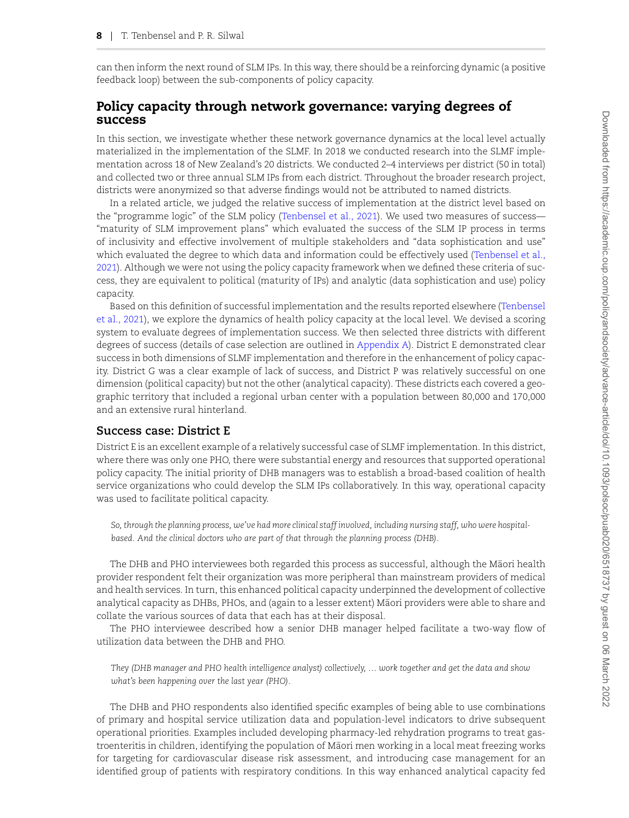can then inform the next round of SLM IPs. In this way, there should be a reinforcing dynamic (a positive feedback loop) between the sub-components of policy capacity.

### **Policy capacity through network governance: varying degrees of success**

In this section, we investigate whether these network governance dynamics at the local level actually materialized in the implementation of the SLMF. In 2018 we conducted research into the SLMF implementation across 18 of New Zealand's 20 districts. We conducted 2–4 interviews per district (50 in total) and collected two or three annual SLM IPs from each district. Throughout the broader research project, districts were anonymized so that adverse findings would not be attributed to named districts.

In a related article, we judged the relative success of implementation at the district level based on the "programme logic" of the SLM policy([Tenbensel et al., 2021](#page-14-7)). We used two measures of success— "maturity of SLM improvement plans" which evaluated the success of the SLM IP process in terms of inclusivity and effective involvement of multiple stakeholders and "data sophistication and use" which evaluated the degree to which data and information could be effectively used([Tenbensel et al.,](#page-14-7) [2021\)](#page-14-7). Although we were not using the policy capacity framework when we defined these criteria of success, they are equivalent to political (maturity of IPs) and analytic (data sophistication and use) policy capacity.

Based on this definition of successful implementation and the results reported elsewhere([Tenbensel](#page-14-7) [et al., 2021\)](#page-14-7), we explore the dynamics of health policy capacity at the local level. We devised a scoring system to evaluate degrees of implementation success. We then selected three districts with different degrees of success (details of case selection are outlined in [Appendix A](#page-11-0)). District E demonstrated clear success in both dimensions of SLMF implementation and therefore in the enhancement of policy capacity. District G was a clear example of lack of success, and District P was relatively successful on one dimension (political capacity) but not the other (analytical capacity). These districts each covered a geographic territory that included a regional urban center with a population between 80,000 and 170,000 and an extensive rural hinterland.

#### **Success case: District E**

District E is an excellent example of a relatively successful case of SLMF implementation. In this district, where there was only one PHO, there were substantial energy and resources that supported operational policy capacity. The initial priority of DHB managers was to establish a broad-based coalition of health service organizations who could develop the SLM IPs collaboratively. In this way, operational capacity was used to facilitate political capacity.

*So, through the planning process, we've had more clinical staff involved, including nursing staff, who were hospitalbased. And the clinical doctors who are part of that through the planning process (DHB).*

The DHB and PHO interviewees both regarded this process as successful, although the Maori health ¯ provider respondent felt their organization was more peripheral than mainstream providers of medical and health services. In turn, this enhanced political capacity underpinned the development of collective analytical capacity as DHBs, PHOs, and (again to a lesser extent) Maori providers were able to share and ¯ collate the various sources of data that each has at their disposal.

The PHO interviewee described how a senior DHB manager helped facilitate a two-way flow of utilization data between the DHB and PHO.

*They (DHB manager and PHO health intelligence analyst) collectively, … work together and get the data and show what's been happening over the last year (PHO).*

The DHB and PHO respondents also identified specific examples of being able to use combinations of primary and hospital service utilization data and population-level indicators to drive subsequent operational priorities. Examples included developing pharmacy-led rehydration programs to treat gastroenteritis in children, identifying the population of Maori men working in a local meat freezing works ¯ for targeting for cardiovascular disease risk assessment, and introducing case management for an identified group of patients with respiratory conditions. In this way enhanced analytical capacity fed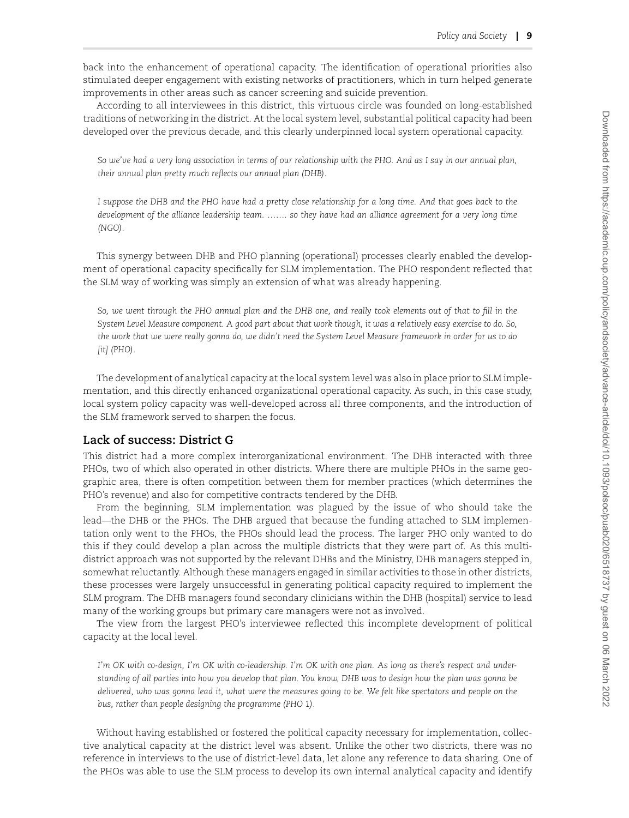back into the enhancement of operational capacity. The identification of operational priorities also stimulated deeper engagement with existing networks of practitioners, which in turn helped generate improvements in other areas such as cancer screening and suicide prevention.

According to all interviewees in this district, this virtuous circle was founded on long-established traditions of networking in the district. At the local system level, substantial political capacity had been developed over the previous decade, and this clearly underpinned local system operational capacity.

*So we've had a very long association in terms of our relationship with the PHO. And as I say in our annual plan, their annual plan pretty much reflects our annual plan (DHB).*

*I suppose the DHB and the PHO have had a pretty close relationship for a long time. And that goes back to the development of the alliance leadership team. ……. so they have had an alliance agreement for a very long time (NGO).*

This synergy between DHB and PHO planning (operational) processes clearly enabled the development of operational capacity specifically for SLM implementation. The PHO respondent reflected that the SLM way of working was simply an extension of what was already happening.

*So, we went through the PHO annual plan and the DHB one, and really took elements out of that to fill in the System Level Measure component. A good part about that work though, it was a relatively easy exercise to do. So, the work that we were really gonna do, we didn't need the System Level Measure framework in order for us to do [it] (PHO).*

The development of analytical capacity at the local system level was also in place prior to SLM implementation, and this directly enhanced organizational operational capacity. As such, in this case study, local system policy capacity was well-developed across all three components, and the introduction of the SLM framework served to sharpen the focus.

#### **Lack of success: District G**

This district had a more complex interorganizational environment. The DHB interacted with three PHOs, two of which also operated in other districts. Where there are multiple PHOs in the same geographic area, there is often competition between them for member practices (which determines the PHO's revenue) and also for competitive contracts tendered by the DHB.

From the beginning, SLM implementation was plagued by the issue of who should take the lead—the DHB or the PHOs. The DHB argued that because the funding attached to SLM implementation only went to the PHOs, the PHOs should lead the process. The larger PHO only wanted to do this if they could develop a plan across the multiple districts that they were part of. As this multidistrict approach was not supported by the relevant DHBs and the Ministry, DHB managers stepped in, somewhat reluctantly. Although these managers engaged in similar activities to those in other districts, these processes were largely unsuccessful in generating political capacity required to implement the SLM program. The DHB managers found secondary clinicians within the DHB (hospital) service to lead many of the working groups but primary care managers were not as involved.

The view from the largest PHO's interviewee reflected this incomplete development of political capacity at the local level.

*I'm OK with co-design, I'm OK with co-leadership. I'm OK with one plan. As long as there's respect and understanding of all parties into how you develop that plan. You know, DHB was to design how the plan was gonna be delivered, who was gonna lead it, what were the measures going to be. We felt like spectators and people on the bus, rather than people designing the programme (PHO 1).*

Without having established or fostered the political capacity necessary for implementation, collective analytical capacity at the district level was absent. Unlike the other two districts, there was no reference in interviews to the use of district-level data, let alone any reference to data sharing. One of the PHOs was able to use the SLM process to develop its own internal analytical capacity and identify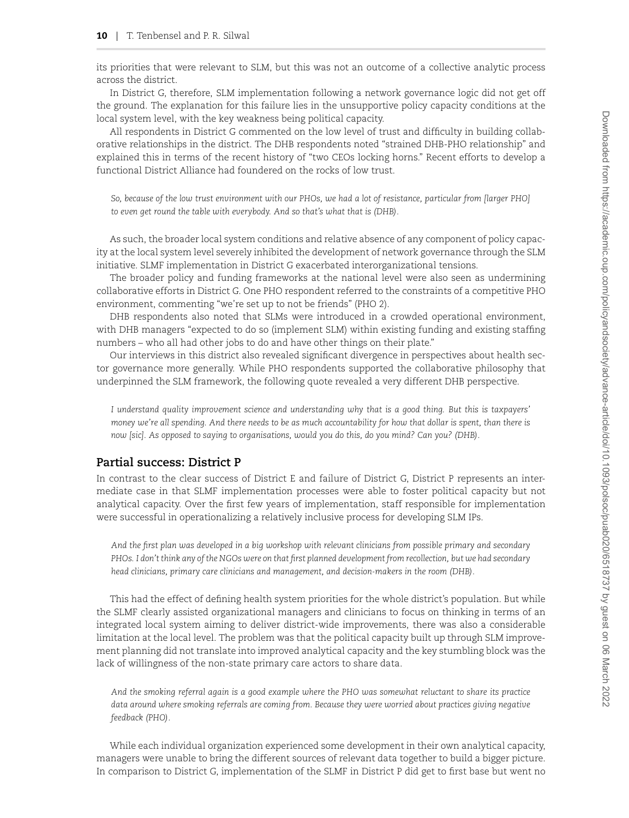its priorities that were relevant to SLM, but this was not an outcome of a collective analytic process across the district.

In District G, therefore, SLM implementation following a network governance logic did not get off the ground. The explanation for this failure lies in the unsupportive policy capacity conditions at the local system level, with the key weakness being political capacity.

All respondents in District G commented on the low level of trust and difficulty in building collaborative relationships in the district. The DHB respondents noted "strained DHB-PHO relationship" and explained this in terms of the recent history of "two CEOs locking horns." Recent efforts to develop a functional District Alliance had foundered on the rocks of low trust.

*So, because of the low trust environment with our PHOs, we had a lot of resistance, particular from [larger PHO] to even get round the table with everybody. And so that's what that is (DHB).*

As such, the broader local system conditions and relative absence of any component of policy capacity at the local system level severely inhibited the development of network governance through the SLM initiative. SLMF implementation in District G exacerbated interorganizational tensions.

The broader policy and funding frameworks at the national level were also seen as undermining collaborative efforts in District G. One PHO respondent referred to the constraints of a competitive PHO environment, commenting "we're set up to not be friends" (PHO 2).

DHB respondents also noted that SLMs were introduced in a crowded operational environment, with DHB managers "expected to do so (implement SLM) within existing funding and existing staffing numbers – who all had other jobs to do and have other things on their plate."

Our interviews in this district also revealed significant divergence in perspectives about health sector governance more generally. While PHO respondents supported the collaborative philosophy that underpinned the SLM framework, the following quote revealed a very different DHB perspective.

*I understand quality improvement science and understanding why that is a good thing. But this is taxpayers' money we're all spending. And there needs to be as much accountability for how that dollar is spent, than there is now [sic]. As opposed to saying to organisations, would you do this, do you mind? Can you? (DHB).*

# **Partial success: District P**

In contrast to the clear success of District E and failure of District G, District P represents an intermediate case in that SLMF implementation processes were able to foster political capacity but not analytical capacity. Over the first few years of implementation, staff responsible for implementation were successful in operationalizing a relatively inclusive process for developing SLM IPs.

*And the first plan was developed in a big workshop with relevant clinicians from possible primary and secondary PHOs. I don't think any of the NGOs were on that first planned development from recollection, but we had secondary head clinicians, primary care clinicians and management, and decision-makers in the room (DHB).*

This had the effect of defining health system priorities for the whole district's population. But while the SLMF clearly assisted organizational managers and clinicians to focus on thinking in terms of an integrated local system aiming to deliver district-wide improvements, there was also a considerable limitation at the local level. The problem was that the political capacity built up through SLM improvement planning did not translate into improved analytical capacity and the key stumbling block was the lack of willingness of the non-state primary care actors to share data.

*And the smoking referral again is a good example where the PHO was somewhat reluctant to share its practice data around where smoking referrals are coming from. Because they were worried about practices giving negative feedback (PHO).*

While each individual organization experienced some development in their own analytical capacity, managers were unable to bring the different sources of relevant data together to build a bigger picture. In comparison to District G, implementation of the SLMF in District P did get to first base but went no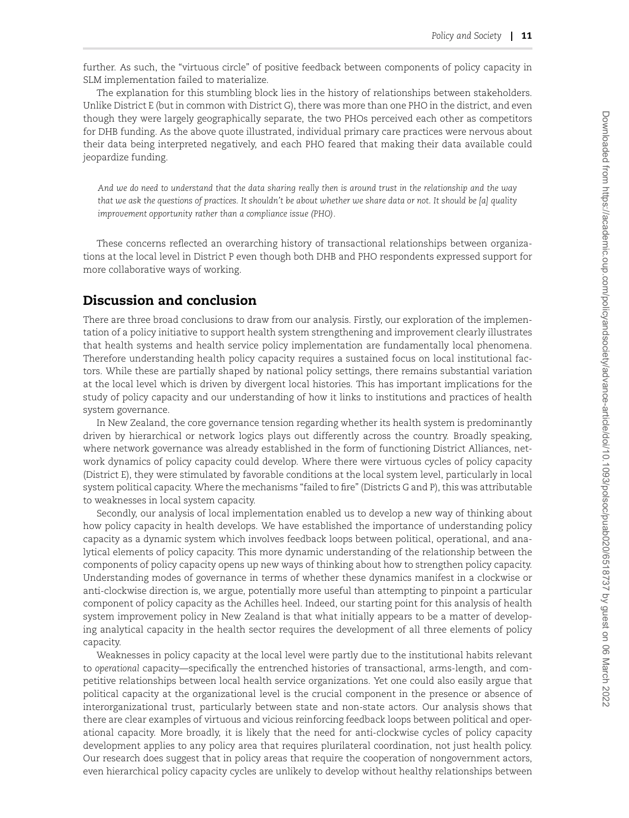further. As such, the "virtuous circle" of positive feedback between components of policy capacity in SLM implementation failed to materialize.

The explanation for this stumbling block lies in the history of relationships between stakeholders. Unlike District E (but in common with District G), there was more than one PHO in the district, and even though they were largely geographically separate, the two PHOs perceived each other as competitors for DHB funding. As the above quote illustrated, individual primary care practices were nervous about their data being interpreted negatively, and each PHO feared that making their data available could jeopardize funding.

*And we do need to understand that the data sharing really then is around trust in the relationship and the way that we ask the questions of practices. It shouldn't be about whether we share data or not. It should be [a] quality improvement opportunity rather than a compliance issue (PHO).*

These concerns reflected an overarching history of transactional relationships between organizations at the local level in District P even though both DHB and PHO respondents expressed support for more collaborative ways of working.

## **Discussion and conclusion**

There are three broad conclusions to draw from our analysis. Firstly, our exploration of the implementation of a policy initiative to support health system strengthening and improvement clearly illustrates that health systems and health service policy implementation are fundamentally local phenomena. Therefore understanding health policy capacity requires a sustained focus on local institutional factors. While these are partially shaped by national policy settings, there remains substantial variation at the local level which is driven by divergent local histories. This has important implications for the study of policy capacity and our understanding of how it links to institutions and practices of health system governance.

In New Zealand, the core governance tension regarding whether its health system is predominantly driven by hierarchical or network logics plays out differently across the country. Broadly speaking, where network governance was already established in the form of functioning District Alliances, network dynamics of policy capacity could develop. Where there were virtuous cycles of policy capacity (District E), they were stimulated by favorable conditions at the local system level, particularly in local system political capacity. Where the mechanisms "failed to fire" (Districts G and P), this was attributable to weaknesses in local system capacity.

Secondly, our analysis of local implementation enabled us to develop a new way of thinking about how policy capacity in health develops. We have established the importance of understanding policy capacity as a dynamic system which involves feedback loops between political, operational, and analytical elements of policy capacity. This more dynamic understanding of the relationship between the components of policy capacity opens up new ways of thinking about how to strengthen policy capacity. Understanding modes of governance in terms of whether these dynamics manifest in a clockwise or anti-clockwise direction is, we argue, potentially more useful than attempting to pinpoint a particular component of policy capacity as the Achilles heel. Indeed, our starting point for this analysis of health system improvement policy in New Zealand is that what initially appears to be a matter of developing analytical capacity in the health sector requires the development of all three elements of policy capacity.

Weaknesses in policy capacity at the local level were partly due to the institutional habits relevant to *operational* capacity—specifically the entrenched histories of transactional, arms-length, and competitive relationships between local health service organizations. Yet one could also easily argue that political capacity at the organizational level is the crucial component in the presence or absence of interorganizational trust, particularly between state and non-state actors. Our analysis shows that there are clear examples of virtuous and vicious reinforcing feedback loops between political and operational capacity. More broadly, it is likely that the need for anti-clockwise cycles of policy capacity development applies to any policy area that requires plurilateral coordination, not just health policy. Our research does suggest that in policy areas that require the cooperation of nongovernment actors, even hierarchical policy capacity cycles are unlikely to develop without healthy relationships between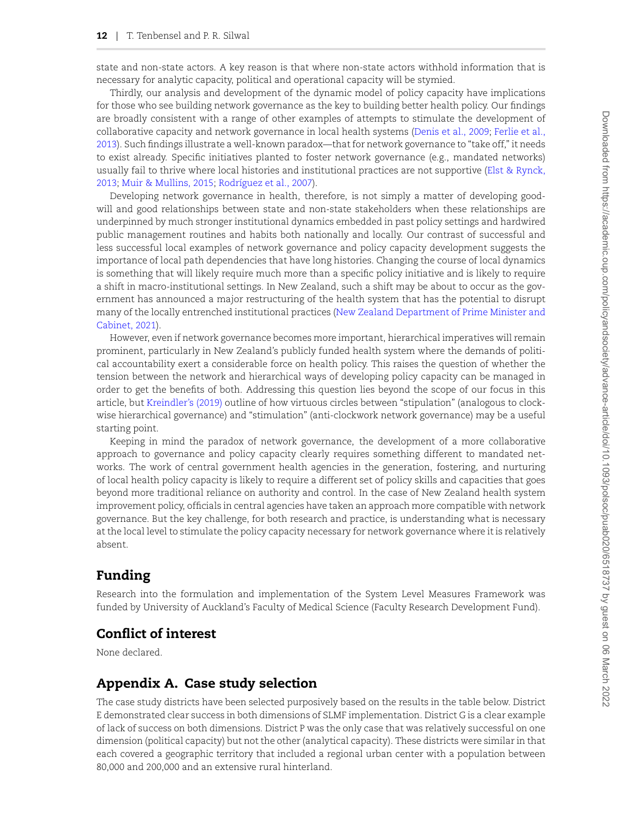state and non-state actors. A key reason is that where non-state actors withhold information that is necessary for analytic capacity, political and operational capacity will be stymied.

Thirdly, our analysis and development of the dynamic model of policy capacity have implications for those who see building network governance as the key to building better health policy. Our findings are broadly consistent with a range of other examples of attempts to stimulate the development of collaborative capacity and network governance in local health systems([Denis et al., 2009;](#page-12-8) [Ferlie et al.,](#page-12-9) [2013\)](#page-12-9). Such findings illustrate a well-known paradox—that for network governance to "take off," it needs to exist already. Specific initiatives planted to foster network governance (e.g., mandated networks) usually fail to thrive where local histories and institutional practices are not supportive [\(Elst & Rynck,](#page-12-10) [2013;](#page-12-10) [Muir & Mullins, 2015](#page-13-17); [Rodríguez et al., 2007](#page-13-18)).

Developing network governance in health, therefore, is not simply a matter of developing goodwill and good relationships between state and non-state stakeholders when these relationships are underpinned by much stronger institutional dynamics embedded in past policy settings and hardwired public management routines and habits both nationally and locally. Our contrast of successful and less successful local examples of network governance and policy capacity development suggests the importance of local path dependencies that have long histories. Changing the course of local dynamics is something that will likely require much more than a specific policy initiative and is likely to require a shift in macro-institutional settings. In New Zealand, such a shift may be about to occur as the government has announced a major restructuring of the health system that has the potential to disrupt many of the locally entrenched institutional practices [\(New Zealand Department of Prime Minister and](#page-13-19) [Cabinet, 2021\)](#page-13-19).

However, even if network governance becomes more important, hierarchical imperatives will remain prominent, particularly in New Zealand's publicly funded health system where the demands of political accountability exert a considerable force on health policy. This raises the question of whether the tension between the network and hierarchical ways of developing policy capacity can be managed in order to get the benefits of both. Addressing this question lies beyond the scope of our focus in this article, but [Kreindler's \(2019\)](#page-13-20) outline of how virtuous circles between "stipulation" (analogous to clockwise hierarchical governance) and "stimulation" (anti-clockwork network governance) may be a useful starting point.

Keeping in mind the paradox of network governance, the development of a more collaborative approach to governance and policy capacity clearly requires something different to mandated networks. The work of central government health agencies in the generation, fostering, and nurturing of local health policy capacity is likely to require a different set of policy skills and capacities that goes beyond more traditional reliance on authority and control. In the case of New Zealand health system improvement policy, officials in central agencies have taken an approach more compatible with network governance. But the key challenge, for both research and practice, is understanding what is necessary at the local level to stimulate the policy capacity necessary for network governance where it is relatively absent.

## **Funding**

Research into the formulation and implementation of the System Level Measures Framework was funded by University of Auckland's Faculty of Medical Science (Faculty Research Development Fund).

# **Conflict of interest**

<span id="page-11-0"></span>None declared.

## **Appendix A. Case study selection**

The case study districts have been selected purposively based on the results in the table below. District E demonstrated clear success in both dimensions of SLMF implementation. District G is a clear example of lack of success on both dimensions. District P was the only case that was relatively successful on one dimension (political capacity) but not the other (analytical capacity). These districts were similar in that each covered a geographic territory that included a regional urban center with a population between 80,000 and 200,000 and an extensive rural hinterland.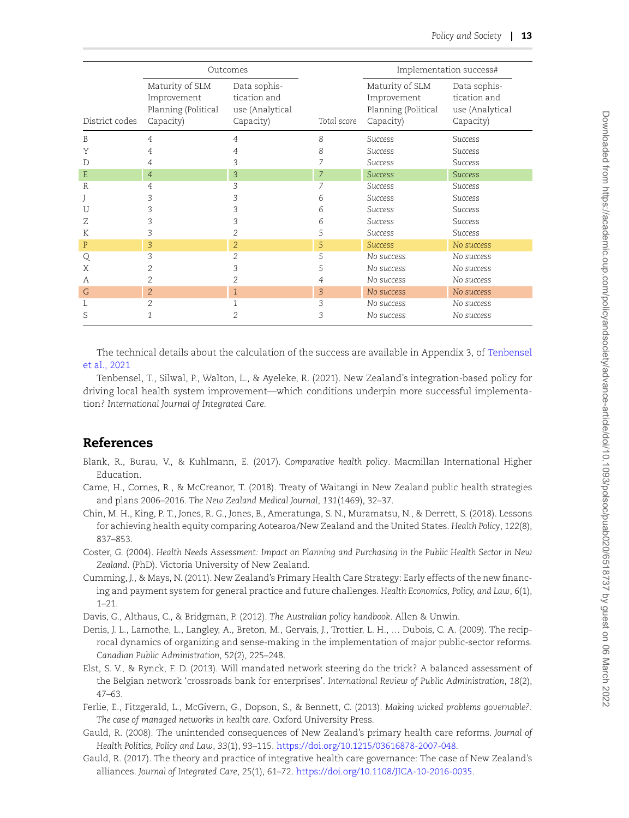|                   | Outcomes                                                                                      |                                                              | Implementation success# |                                                                                                 |                                                                                                                                                                                                                                |
|-------------------|-----------------------------------------------------------------------------------------------|--------------------------------------------------------------|-------------------------|-------------------------------------------------------------------------------------------------|--------------------------------------------------------------------------------------------------------------------------------------------------------------------------------------------------------------------------------|
| District codes    | Maturity of SLM<br>Improvement<br>Planning (Political<br>Capacity)                            | Data sophis-<br>tication and<br>use (Analytical<br>Capacity) | Total score             | Maturity of SLM<br>Improvement<br>Planning (Political<br>Capacity)                              | Data sophis-<br>tication and<br>use (Analytical<br>Capacity)                                                                                                                                                                   |
| B                 | $\overline{4}$                                                                                | 4                                                            | 8                       | Success                                                                                         | Success                                                                                                                                                                                                                        |
| Y                 | $\overline{4}$                                                                                | $\overline{4}$                                               | 8                       | Success                                                                                         | <b>Success</b>                                                                                                                                                                                                                 |
| D                 | $\overline{4}$                                                                                | 3                                                            | 7                       | <b>Success</b>                                                                                  | <b>Success</b>                                                                                                                                                                                                                 |
| E                 | $\sqrt{4}$                                                                                    | 3                                                            | $\boldsymbol{7}$        | <b>Success</b>                                                                                  | <b>Success</b>                                                                                                                                                                                                                 |
| R                 | 4                                                                                             | 3                                                            | 7                       | <b>Success</b>                                                                                  | <b>Success</b>                                                                                                                                                                                                                 |
| J                 | 3                                                                                             | 3                                                            | 6                       | <b>Success</b>                                                                                  | <b>Success</b>                                                                                                                                                                                                                 |
| U<br>Ζ            | 3<br>3                                                                                        | 3<br>3                                                       | 6<br>6                  | <b>Success</b><br><b>Success</b>                                                                | <b>Success</b><br><b>Success</b>                                                                                                                                                                                               |
| K                 | 3                                                                                             | $\sqrt{2}$                                                   | 5                       | <b>Success</b>                                                                                  | <b>Success</b>                                                                                                                                                                                                                 |
| P                 | 3                                                                                             | $\overline{c}$                                               | 5                       | <b>Success</b>                                                                                  | No success                                                                                                                                                                                                                     |
| Q                 | 3                                                                                             | $\overline{2}$                                               | 5                       | No success                                                                                      | No success                                                                                                                                                                                                                     |
| Χ                 | $\overline{c}$                                                                                | 3                                                            | 5                       | No success                                                                                      | No success                                                                                                                                                                                                                     |
| А                 | $\overline{c}$                                                                                | $\overline{c}$                                               | $\overline{4}$          | No success                                                                                      | No success                                                                                                                                                                                                                     |
| G                 | $\overline{2}$                                                                                | $\,1$                                                        | 3                       | No success                                                                                      | No success                                                                                                                                                                                                                     |
| L                 | $\overline{2}$                                                                                | $\mathbf{1}$                                                 | 3                       | No success                                                                                      | No success                                                                                                                                                                                                                     |
| S                 | $\mathbf{1}$                                                                                  | $\overline{c}$                                               | 3                       | No success                                                                                      | No success                                                                                                                                                                                                                     |
| <b>References</b> |                                                                                               |                                                              |                         |                                                                                                 |                                                                                                                                                                                                                                |
|                   |                                                                                               |                                                              |                         |                                                                                                 |                                                                                                                                                                                                                                |
| Education.        |                                                                                               |                                                              |                         |                                                                                                 | Blank, R., Burau, V., & Kuhlmann, E. (2017). Comparative health policy. Macmillan International Higher                                                                                                                         |
|                   | and plans 2006-2016. The New Zealand Medical Journal, 131(1469), 32-37.                       |                                                              |                         |                                                                                                 | Came, H., Cornes, R., & McCreanor, T. (2018). Treaty of Waitangi in New Zealand public health strategies                                                                                                                       |
|                   |                                                                                               |                                                              |                         |                                                                                                 | Chin, M. H., King, P. T., Jones, R. G., Jones, B., Ameratunga, S. N., Muramatsu, N., & Derrett, S. (2018). Lessons<br>for achieving health equity comparing Aotearoa/New Zealand and the United States. Health Policy, 122(8), |
| 837-853.          |                                                                                               |                                                              |                         |                                                                                                 | Coster, G. (2004). Health Needs Assessment: Impact on Planning and Purchasing in the Public Health Sector in New                                                                                                               |
|                   | Zealand. (PhD). Victoria University of New Zealand.                                           |                                                              |                         |                                                                                                 |                                                                                                                                                                                                                                |
|                   |                                                                                               |                                                              |                         |                                                                                                 | Cumming, J., & Mays, N. (2011). New Zealand's Primary Health Care Strategy: Early effects of the new financ-                                                                                                                   |
| $1 - 21$ .        |                                                                                               |                                                              |                         |                                                                                                 | ing and payment system for general practice and future challenges. Health Economics, Policy, and Law, 6(1),                                                                                                                    |
|                   | Davis, G., Althaus, C., & Bridgman, P. (2012). The Australian policy handbook. Allen & Unwin. |                                                              |                         |                                                                                                 |                                                                                                                                                                                                                                |
|                   |                                                                                               |                                                              |                         |                                                                                                 | Denis, J. L., Lamothe, L., Langley, A., Breton, M., Gervais, J., Trottier, L. H.,  Dubois, C. A. (2009). The recip-<br>rocal dynamics of organizing and sense-making in the implementation of major public-sector reforms.     |
|                   | Canadian Public Administration, 52(2), 225-248.                                               |                                                              |                         |                                                                                                 |                                                                                                                                                                                                                                |
|                   |                                                                                               |                                                              |                         |                                                                                                 | Elst, S. V., & Rynck, F. D. (2013). Will mandated network steering do the trick? A balanced assessment of                                                                                                                      |
| $47 - 63$ .       |                                                                                               |                                                              |                         |                                                                                                 | the Belgian network 'crossroads bank for enterprises'. International Review of Public Administration, 18(2),                                                                                                                   |
|                   |                                                                                               |                                                              |                         |                                                                                                 | Ferlie, E., Fitzgerald, L., McGivern, G., Dopson, S., & Bennett, C. (2013). Making wicked problems governable?:                                                                                                                |
|                   | The case of managed networks in health care. Oxford University Press.                         |                                                              |                         |                                                                                                 |                                                                                                                                                                                                                                |
|                   |                                                                                               |                                                              |                         |                                                                                                 | Gauld, R. (2008). The unintended consequences of New Zealand's primary health care reforms. Journal of                                                                                                                         |
|                   | Health Politics, Policy and Law, 33(1), 93-115. https://doi.org/10.1215/03616878-2007-048.    |                                                              |                         |                                                                                                 |                                                                                                                                                                                                                                |
|                   |                                                                                               |                                                              |                         |                                                                                                 | Gauld, R. (2017). The theory and practice of integrative health care governance: The case of New Zealand's                                                                                                                     |
|                   |                                                                                               |                                                              |                         | alliances. Journal of Integrated Care, 25(1), 61-72. https://doi.org/10.1108/JICA-10-2016-0035. |                                                                                                                                                                                                                                |

# **References**

- <span id="page-12-1"></span>Blank, R., Burau, V., & Kuhlmann, E. (2017). *Comparative health policy*. Macmillan International Higher Education.
- <span id="page-12-3"></span>Came, H., Cornes, R., & McCreanor, T. (2018). Treaty of Waitangi in New Zealand public health strategies and plans 2006–2016. *The New Zealand Medical Journal*, *131*(1469), 32–37.
- <span id="page-12-2"></span>Chin, M. H., King, P. T., Jones, R. G., Jones, B., Ameratunga, S. N., Muramatsu, N., & Derrett, S. (2018). Lessons for achieving health equity comparing Aotearoa/New Zealand and the United States. *Health Policy*, *122*(8), 837–853.
- <span id="page-12-6"></span>Coster, G. (2004). *Health Needs Assessment: Impact on Planning and Purchasing in the Public Health Sector in New Zealand*. (PhD). Victoria University of New Zealand.
- <span id="page-12-4"></span>Cumming, J., & Mays, N. (2011). New Zealand's Primary Health Care Strategy: Early effects of the new financing and payment system for general practice and future challenges. *Health Economics, Policy, and Law*, *6*(1), 1–21.
- <span id="page-12-0"></span>Davis, G., Althaus, C., & Bridgman, P. (2012). *The Australian policy handbook*. Allen & Unwin.
- <span id="page-12-8"></span>Denis, J. L., Lamothe, L., Langley, A., Breton, M., Gervais, J., Trottier, L. H., … Dubois, C. A. (2009). The reciprocal dynamics of organizing and sense-making in the implementation of major public-sector reforms. *Canadian Public Administration*, *52*(2), 225–248.
- <span id="page-12-10"></span>Elst, S. V., & Rynck, F. D. (2013). Will mandated network steering do the trick? A balanced assessment of the Belgian network 'crossroads bank for enterprises'. *International Review of Public Administration*, *18*(2), 47–63.
- <span id="page-12-9"></span>Ferlie, E., Fitzgerald, L., McGivern, G., Dopson, S., & Bennett, C. (2013). *Making wicked problems governable?: The case of managed networks in health care*. Oxford University Press.
- <span id="page-12-7"></span>Gauld, R. (2008). The unintended consequences of New Zealand's primary health care reforms. *Journal of Health Politics, Policy and Law*, *33*(1), 93–115. [https://doi.org/10.1215/03616878-2007-048.](https://doi.org/10.1215/03616878-2007-048)
- <span id="page-12-5"></span>Gauld, R. (2017). The theory and practice of integrative health care governance: The case of New Zealand's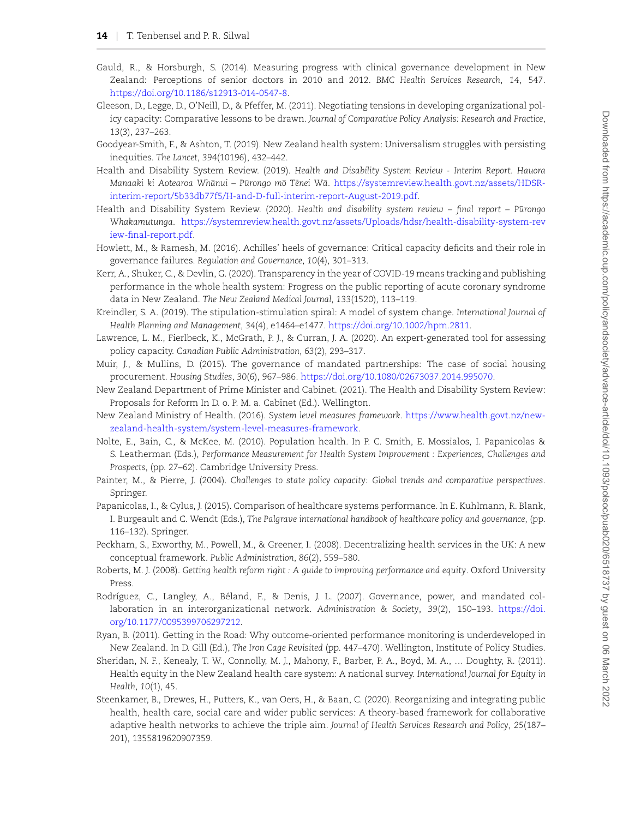- <span id="page-13-13"></span>Gauld, R., & Horsburgh, S. (2014). Measuring progress with clinical governance development in New Zealand: Perceptions of senior doctors in 2010 and 2012. *BMC Health Services Research*, *14*, 547. [https://doi.org/10.1186/s12913-014-0547-8.](https://doi.org/10.1186/s12913-014-0547-8)
- <span id="page-13-0"></span>Gleeson, D., Legge, D., O'Neill, D., & Pfeffer, M. (2011). Negotiating tensions in developing organizational policy capacity: Comparative lessons to be drawn. *Journal of Comparative Policy Analysis: Research and Practice*, *13*(3), 237–263.
- <span id="page-13-10"></span>Goodyear-Smith, F., & Ashton, T. (2019). New Zealand health system: Universalism struggles with persisting inequities. *The Lancet*, *394*(10196), 432–442.
- <span id="page-13-11"></span>Health and Disability System Review. (2019). *Health and Disability System Review - Interim Report. Hauora Manaaki ki Aotearoa Whānui – Pūrongo mō Tēnei Wā. [https://systemreview.health.govt.nz/assets/HDSR](https://systemreview.health.govt.nz/assets/HDSR-interim-report/5b33db77f5/H-and-D-full-interim-report-August-2019.pdf)*[interim-report/5b33db77f5/H-and-D-full-interim-report-August-2019.pdf.](https://systemreview.health.govt.nz/assets/HDSR-interim-report/5b33db77f5/H-and-D-full-interim-report-August-2019.pdf)
- <span id="page-13-7"></span>Health and Disability System Review. (2020). *Health and disability system review - final report - Pūrongo Whakamutunga*. [https://systemreview.health.govt.nz/assets/Uploads/hdsr/health-disability-system-rev](https://systemreview.health.govt.nz/assets/Uploads/hdsr/health-disability-system-review-final-report.pdf) [iew-final-report.pdf](https://systemreview.health.govt.nz/assets/Uploads/hdsr/health-disability-system-review-final-report.pdf).
- <span id="page-13-6"></span>Howlett, M., & Ramesh, M. (2016). Achilles' heels of governance: Critical capacity deficits and their role in governance failures. *Regulation and Governance*, *10*(4), 301–313.
- <span id="page-13-14"></span>Kerr, A., Shuker, C., & Devlin, G. (2020). Transparency in the year of COVID-19 means tracking and publishing performance in the whole health system: Progress on the public reporting of acute coronary syndrome data in New Zealand. *The New Zealand Medical Journal*, *133*(1520), 113–119.
- <span id="page-13-20"></span>Kreindler, S. A. (2019). The stipulation-stimulation spiral: A model of system change. *International Journal of Health Planning and Management*, *34*(4), e1464–e1477. [https://doi.org/10.1002/hpm.2811.](https://doi.org/10.1002/hpm.2811)
- <span id="page-13-5"></span>Lawrence, L. M., Fierlbeck, K., McGrath, P. J., & Curran, J. A. (2020). An expert-generated tool for assessing policy capacity. *Canadian Public Administration*, *63*(2), 293–317.
- <span id="page-13-17"></span>Muir, J., & Mullins, D. (2015). The governance of mandated partnerships: The case of social housing procurement. *Housing Studies*, *30*(6), 967–986. [https://doi.org/10.1080/02673037.2014.995070.](https://doi.org/10.1080/02673037.2014.995070)
- <span id="page-13-19"></span>New Zealand Department of Prime Minister and Cabinet. (2021). The Health and Disability System Review: Proposals for Reform In D. o. P. M. a. Cabinet (Ed.). Wellington.
- <span id="page-13-15"></span>New Zealand Ministry of Health. (2016). *System level measures framework*. [https://www.health.govt.nz/new](https://www.health.govt.nz/new-zealand-health-system/system-level-measures-framework)[zealand-health-system/system-level-measures-framework](https://www.health.govt.nz/new-zealand-health-system/system-level-measures-framework).
- <span id="page-13-8"></span>Nolte, E., Bain, C., & McKee, M. (2010). Population health. In P. C. Smith, E. Mossialos, I. Papanicolas & S. Leatherman (Eds.), *Performance Measurement for Health System Improvement : Experiences, Challenges and Prospects*, (pp. 27–62). Cambridge University Press.
- <span id="page-13-1"></span>Painter, M., & Pierre, J. (2004). *Challenges to state policy capacity: Global trends and comparative perspectives*. Springer.
- <span id="page-13-3"></span>Papanicolas, I., & Cylus, J. (2015). Comparison of healthcare systems performance. In E. Kuhlmann, R. Blank, I. Burgeault and C. Wendt (Eds.), *The Palgrave international handbook of healthcare policy and governance*, (pp. 116–132). Springer.
- <span id="page-13-16"></span>Peckham, S., Exworthy, M., Powell, M., & Greener, I. (2008). Decentralizing health services in the UK: A new conceptual framework. *Public Administration*, *86*(2), 559–580.
- <span id="page-13-2"></span>Roberts, M. J. (2008). *Getting health reform right : A guide to improving performance and equity*. Oxford University Press.
- <span id="page-13-18"></span>Rodríguez, C., Langley, A., Beland, F., & Denis, J. L. (2007). Governance, power, and mandated col- ´ laboration in an interorganizational network. *Administration & Society*, *39*(2), 150–193. [https://doi.](https://doi.org/10.1177/0095399706297212) [org/10.1177/0095399706297212.](https://doi.org/10.1177/0095399706297212)
- <span id="page-13-12"></span>Ryan, B. (2011). Getting in the Road: Why outcome-oriented performance monitoring is underdeveloped in New Zealand. In D. Gill (Ed.), *The Iron Cage Revisited* (pp. 447–470). Wellington, Institute of Policy Studies.
- <span id="page-13-9"></span>Sheridan, N. F., Kenealy, T. W., Connolly, M. J., Mahony, F., Barber, P. A., Boyd, M. A., … Doughty, R. (2011). Health equity in the New Zealand health care system: A national survey. *International Journal for Equity in Health*, *10*(1), 45.
- <span id="page-13-4"></span>Steenkamer, B., Drewes, H., Putters, K., van Oers, H., & Baan, C. (2020). Reorganizing and integrating public health, health care, social care and wider public services: A theory-based framework for collaborative adaptive health networks to achieve the triple aim. *Journal of Health Services Research and Policy*, *25*(187– 201), 1355819620907359.